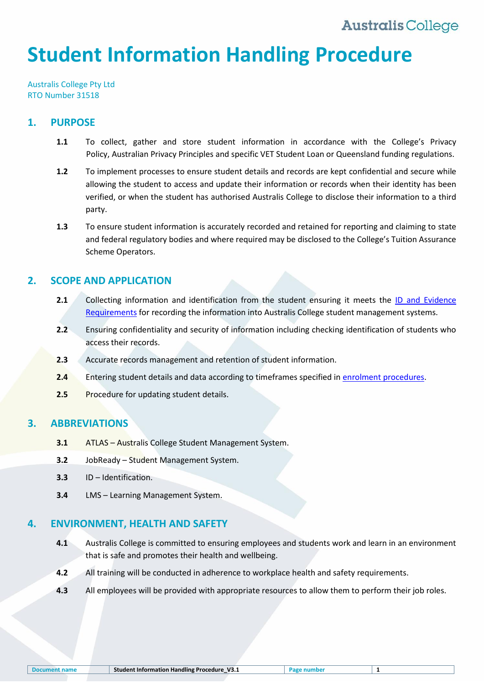# **Student Information Handling Procedure**

Australis College Pty Ltd RTO Number 31518

## **1. PURPOSE**

- **1.1** To collect, gather and store student information in accordance with the College's Privacy Policy, Australian Privacy Principles and specific VET Student Loan or Queensland funding regulations.
- **1.2** To implement processes to ensure student details and records are kept confidential and secure while allowing the student to access and update their information or records when their identity has been verified, or when the student has authorised Australis College to disclose their information to a third party.
- **1.3** To ensure student information is accurately recorded and retained for reporting and claiming to state and federal regulatory bodies and where required may be disclosed to the College's Tuition Assurance Scheme Operators.

## **2. SCOPE AND APPLICATION**

- **2.1** Collecting information and identification from the student ensuring it meets the ID and [Evidence](#page-5-0)  [Requirements](#page-5-0) for recording the information into Australis College student management systems.
- **2.2** Ensuring confidentiality and security of information including checking identification of students who access their records.
- **2.3** Accurate records management and retention of student information.
- **2.4** Entering student details and data according to timeframes specified i[n enrolment procedures.](#page-5-1)
- **2.5** Procedure for updating student details.

## **3. ABBREVIATIONS**

- **3.1** ATLAS Australis College Student Management System.
- **3.2** JobReady Student Management System.
- **3.3** ID Identification.
- **3.4** LMS Learning Management System.

## **4. ENVIRONMENT, HEALTH AND SAFETY**

- **4.1** Australis College is committed to ensuring employees and students work and learn in an environment that is safe and promotes their health and wellbeing.
- **4.2** All training will be conducted in adherence to workplace health and safety requirements.
- **4.3** All employees will be provided with appropriate resources to allow them to perform their job roles.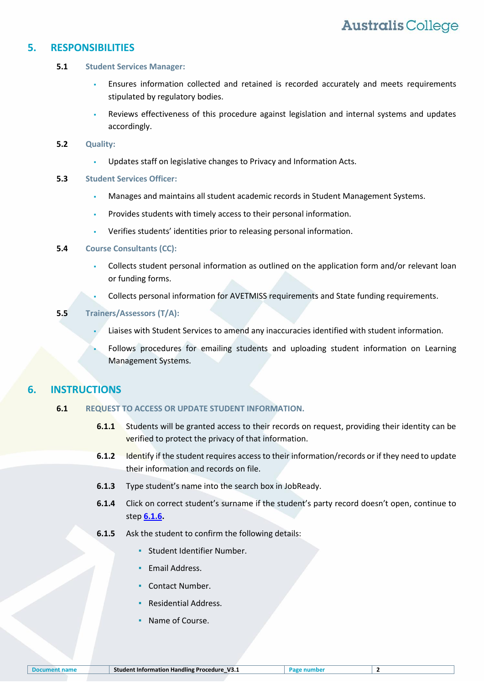### **5. RESPONSIBILITIES**

### **5.1 Student Services Manager:**

- Ensures information collected and retained is recorded accurately and meets requirements stipulated by regulatory bodies.
- Reviews effectiveness of this procedure against legislation and internal systems and updates accordingly.

### **5.2 Quality:**

Updates staff on legislative changes to Privacy and Information Acts.

### **5.3 Student Services Officer:**

- Manages and maintains all student academic records in Student Management Systems.
- Provides students with timely access to their personal information.
- Verifies students' identities prior to releasing personal information.

### **5.4 Course Consultants (CC):**

- Collects student personal information as outlined on the application form and/or relevant loan or funding forms.
- Collects personal information for AVETMISS requirements and State funding requirements.

### **5.5 Trainers/Assessors (T/A):**

- Liaises with Student Services to amend any inaccuracies identified with student information.
- Follows procedures for emailing students and uploading student information on Learning Management Systems.

## **6. INSTRUCTIONS**

### **6.1 REQUEST TO ACCESS OR UPDATE STUDENT INFORMATION.**

- **6.1.1** Students will be granted access to their records on request, providing their identity can be verified to protect the privacy of that information.
- **6.1.2** Identify if the student requires access to their information/records or if they need to update their information and records on file.
- **6.1.3** Type student's name into the search box in JobReady.
- **6.1.4** Click on correct student's surname if the student's party record doesn't open, continue to step **[6.1.6.](#page-1-0)**
- <span id="page-1-0"></span>**6.1.5** Ask the student to confirm the following details:
	- Student Identifier Number.
	- Email Address.
	- Contact Number.
	- Residential Address.
	- Name of Course.

| <b>Document name</b> |  |  |
|----------------------|--|--|
|                      |  |  |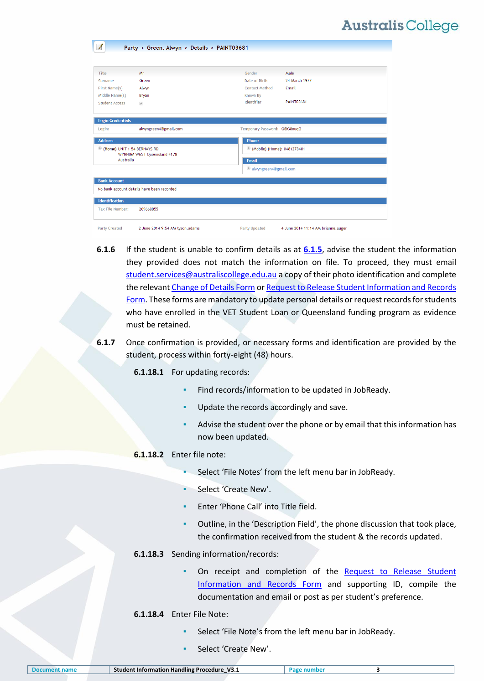|                                          | Party > Green, Alwyn > Details > PAINT03681 |                              |                                    |  |  |
|------------------------------------------|---------------------------------------------|------------------------------|------------------------------------|--|--|
|                                          |                                             |                              |                                    |  |  |
|                                          |                                             |                              |                                    |  |  |
| Title                                    | Mr                                          | Gender                       | Male                               |  |  |
| Surname                                  | Green                                       | Date of Birth                | 24 March 1977                      |  |  |
| First Name(s)                            | Alwyn                                       | <b>Contact Method</b>        | Email                              |  |  |
| Middle Name(s)                           | Bryan                                       | Known By                     |                                    |  |  |
| <b>Student Access</b>                    | $\mathcal{A}$                               | Identifier                   | <b>PAINT03681</b>                  |  |  |
|                                          |                                             |                              |                                    |  |  |
| <b>Login Credentials</b>                 |                                             |                              |                                    |  |  |
| Login:                                   | alwyngreen4@gmail.com                       | Temporary Password: G@G8nuqG |                                    |  |  |
| <b>Address</b>                           |                                             | Phone                        |                                    |  |  |
| M (Home) UNIT 1 54 BERNAYS RD            |                                             |                              | Mobile) (Home): 0481278401         |  |  |
| WYNNUM WEST Queensland 4178<br>Australia |                                             | Email                        |                                    |  |  |
|                                          |                                             |                              | alwyngreen4@gmail.com              |  |  |
| <b>Bank Account</b>                      |                                             |                              |                                    |  |  |
|                                          | No bank account details have been recorded  |                              |                                    |  |  |
| <b>Identification</b>                    |                                             |                              |                                    |  |  |
| Tax File Number:                         | 209668855                                   |                              |                                    |  |  |
|                                          |                                             |                              |                                    |  |  |
| <b>Party Created</b>                     | 2 June 2014 9:54 AM tyson.adams             | Party Updated                | 4 June 2014 11:14 AM brianne.auger |  |  |

- **6.1.6** If the student is unable to confirm details as at **[6.1.5](#page-1-0)**, advise the student the information they provided does not match the information on file. To proceed, they must email [student.services@australiscollege.edu.au](mailto:student.services@australiscollege.edu.au) a copy of their photo identification and complete the relevan[t Change of Details Form](#page-5-2) or [Request to Release Student Information and Records](#page-5-3)  [Form.](#page-5-3) These forms are mandatory to update personal details or request records for students who have enrolled in the VET Student Loan or Queensland funding program as evidence must be retained.
- **6.1.7** Once confirmation is provided, or necessary forms and identification are provided by the student, process within forty-eight (48) hours.

**6.1.18.1** For updating records:

- Find records/information to be updated in JobReady.
- Update the records accordingly and save.
- Advise the student over the phone or by email that this information has now been updated.

#### **6.1.18.2** Enter file note:

- Select 'File Notes' from the left menu bar in JobReady.
- Select 'Create New'.
- Enter 'Phone Call' into Title field.
- Outline, in the 'Description Field', the phone discussion that took place, the confirmation received from the student & the records updated.
- **6.1.18.3** Sending information/records:
	- On receipt and completion of the Request to Release Student [Information and Records Form](#page-5-3) and supporting ID, compile the documentation and email or post as per student's preference.
- **6.1.18.4** Enter File Note:
	- Select 'File Note's from the left menu bar in JobReady.
	- Select 'Create New'.

| <b>Document name</b> | <sup>1</sup> Student Information Handling Procedure V3.1 |  |  |
|----------------------|----------------------------------------------------------|--|--|
|                      |                                                          |  |  |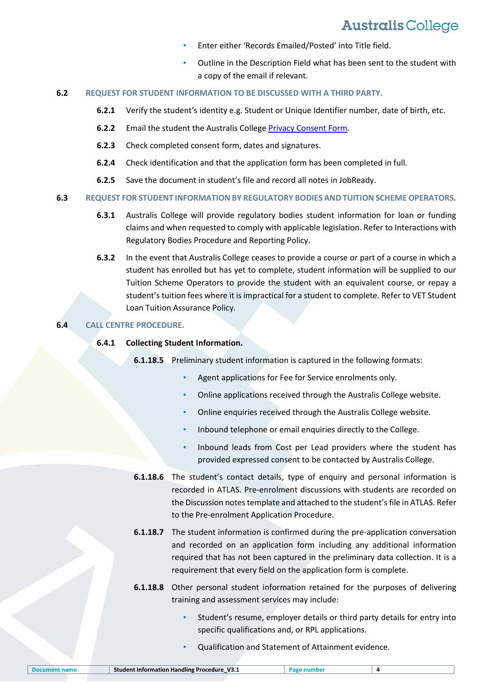- Enter either 'Records Emailed/Posted' into Title field.
- Outline in the Description Field what has been sent to the student with a copy of the email if relevant.

#### **6.2 REQUEST FOR STUDENT INFORMATION TO BE DISCUSSED WITH A THIRD PARTY.**

- **6.2.1** Verify the student's identity e.g. Student or Unique Identifier number, date of birth, etc.
- **6.2.2** Email the student the Australis College [Privacy Consent Form.](#page-5-4)
- **6.2.3** Check completed consent form, dates and signatures.
- **6.2.4** Check identification and that the application form has been completed in full.
- **6.2.5** Save the document in student's file and record all notes in JobReady.

#### **6.3 REQUEST FOR STUDENT INFORMATION BY REGULATORY BODIES AND TUITION SCHEME OPERATORS.**

- **6.3.1** Australis College will provide regulatory bodies student information for loan or funding claims and when requested to comply with applicable legislation. Refer to Interactions with Regulatory Bodies Procedure and Reporting Policy.
- **6.3.2** In the event that Australis College ceases to provide a course or part of a course in which a student has enrolled but has yet to complete, student information will be supplied to our Tuition Scheme Operators to provide the student with an equivalent course, or repay a student's tuition fees where it is impractical for a student to complete. Refer to VET Student Loan Tuition Assurance Policy.

### **6.4 CALL CENTRE PROCEDURE.**

#### **6.4.1 Collecting Student Information.**

**6.1.18.5** Preliminary student information is captured in the following formats:

- Agent applications for Fee for Service enrolments only.
- Online applications received through the Australis College website.
- Online enquiries received through the Australis College website.
- Inbound telephone or email enquiries directly to the College.
- Inbound leads from Cost per Lead providers where the student has provided expressed consent to be contacted by Australis College.
- **6.1.18.6** The student's contact details, type of enquiry and personal information is recorded in ATLAS. Pre-enrolment discussions with students are recorded on the Discussion notes template and attached to the student's file in ATLAS. Refer to the Pre-enrolment Application Procedure.
- **6.1.18.7** The student information is confirmed during the pre-application conversation and recorded on an application form including any additional information required that has not been captured in the preliminary data collection. It is a requirement that every field on the application form is complete.
- **6.1.18.8** Other personal student information retained for the purposes of delivering training and assessment services may include:
	- Student's resume, employer details or third party details for entry into specific qualifications and, or RPL applications.
	- Qualification and Statement of Attainment evidence.

| <b>Document name</b> | <b>Student Information Handling Procedure</b><br>V3.1 | Pap. |  |
|----------------------|-------------------------------------------------------|------|--|
|                      |                                                       |      |  |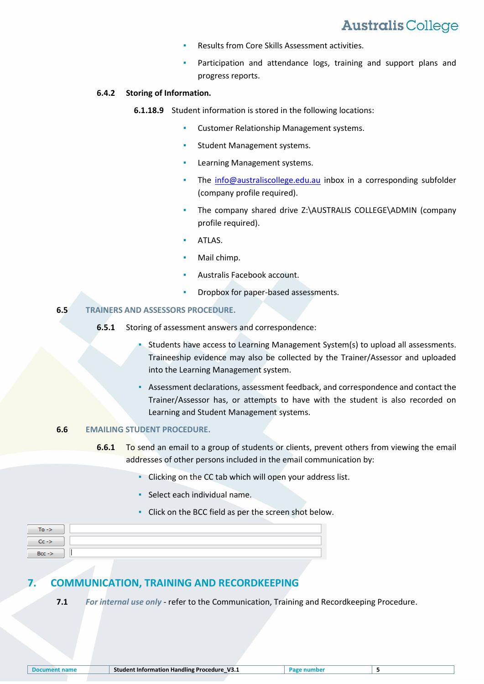- Results from Core Skills Assessment activities.
- Participation and attendance logs, training and support plans and progress reports.

#### **6.4.2 Storing of Information.**

- **6.1.18.9** Student information is stored in the following locations:
	- **Customer Relationship Management systems.**
	- Student Management systems.
	- Learning Management systems.
	- The  $info@australiscollege.edu.au$  inbox in a corresponding subfolder (company profile required).
	- The company shared drive [Z:\AUSTRALIS COLLEGE\ADMIN](file://///fileserver01/CompanyShares/AUSTRALIS%20COLLEGE/ADMIN) (company profile required).
	- ATLAS.
	- Mail chimp.
	- Australis Facebook account.
	- Dropbox for paper-based assessments.

### **6.5 TRAINERS AND ASSESSORS PROCEDURE.**

- **6.5.1** Storing of assessment answers and correspondence:
	- Students have access to Learning Management System(s) to upload all assessments. Traineeship evidence may also be collected by the Trainer/Assessor and uploaded into the Learning Management system.
	- Assessment declarations, assessment feedback, and correspondence and contact the Trainer/Assessor has, or attempts to have with the student is also recorded on Learning and Student Management systems.

### **6.6 EMAILING STUDENT PROCEDURE.**

- **6.6.1** To send an email to a group of students or clients, prevent others from viewing the email addresses of other persons included in the email communication by:
	- Clicking on the CC tab which will open your address list.
	- Select each individual name.
	- Click on the BCC field as per the screen shot below.

| $To \rightarrow$ |  |
|------------------|--|
| $-$ Cc - $>$     |  |
| $Bcc$ ->         |  |
|                  |  |

## **7. COMMUNICATION, TRAINING AND RECORDKEEPING**

**7.1** *For internal use only* - refer to the Communication, Training and Recordkeeping Procedure.